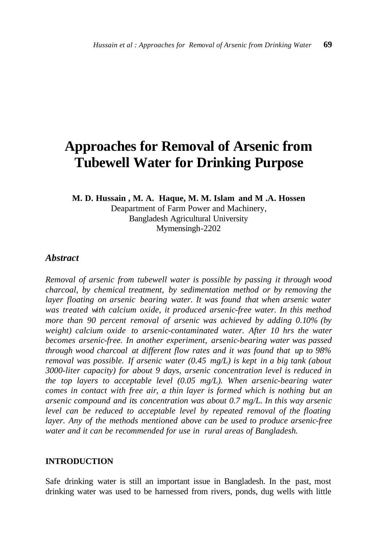# **Approaches for Removal of Arsenic from Tubewell Water for Drinking Purpose**

**M. D. Hussain , M. A. Haque, M. M. Islam and M .A. Hossen**

Deapartment of Farm Power and Machinery, Bangladesh Agricultural University Mymensingh-2202

#### *Abstract*

*Removal of arsenic from tubewell water is possible by passing it through wood charcoal, by chemical treatment, by sedimentation method or by removing the layer floating on arsenic bearing water. It was found that when arsenic water was treated with calcium oxide, it produced arsenic-free water. In this method more than 90 percent removal of arsenic was achieved by adding 0.10% (by weight) calcium oxide to arsenic-contaminated water. After 10 hrs the water becomes arsenic-free. In another experiment, arsenic-bearing water was passed through wood charcoal at different flow rates and it was found that up to 98% removal was possible. If arsenic water (0.45 mg/L) is kept in a big tank (about 3000-liter capacity) for about 9 days, arsenic concentration level is reduced in the top layers to acceptable level (0.05 mg/L). When arsenic-bearing water comes in contact with free air, a thin layer is formed which is nothing but an arsenic compound and its concentration was about 0.7 mg/L. In this way arsenic level can be reduced to acceptable level by repeated removal of the floating layer. Any of the methods mentioned above can be used to produce arsenic-free water and it can be recommended for use in rural areas of Bangladesh.*

## **INTRODUCTION**

Safe drinking water is still an important issue in Bangladesh. In the past, most drinking water was used to be harnessed from rivers, ponds, dug wells with little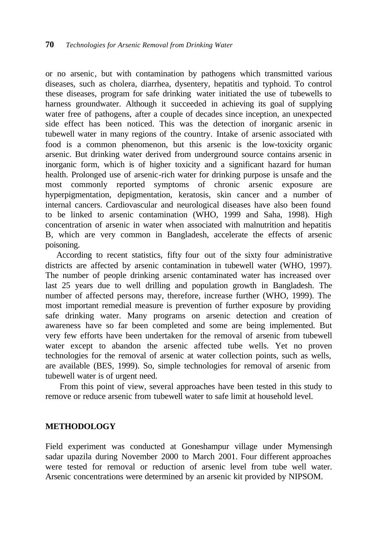or no arsenic, but with contamination by pathogens which transmitted various diseases, such as cholera, diarrhea, dysentery, hepatitis and typhoid. To control these diseases, program for safe drinking water initiated the use of tubewells to harness groundwater. Although it succeeded in achieving its goal of supplying water free of pathogens, after a couple of decades since inception, an unexpected side effect has been noticed. This was the detection of inorganic arsenic in tubewell water in many regions of the country. Intake of arsenic associated with food is a common phenomenon, but this arsenic is the low-toxicity organic arsenic. But drinking water derived from underground source contains arsenic in inorganic form, which is of higher toxicity and a significant hazard for human health. Prolonged use of arsenic-rich water for drinking purpose is unsafe and the most commonly reported symptoms of chronic arsenic exposure are hyperpigmentation, depigmentation, keratosis, skin cancer and a number of internal cancers. Cardiovascular and neurological diseases have also been found to be linked to arsenic contamination (WHO, 1999 and Saha, 1998). High concentration of arsenic in water when associated with malnutrition and hepatitis B, which are very common in Bangladesh, accelerate the effects of arsenic poisoning.

According to recent statistics, fifty four out of the sixty four administrative districts are affected by arsenic contamination in tubewell water (WHO, 1997). The number of people drinking arsenic contaminated water has increased over last 25 years due to well drilling and population growth in Bangladesh. The number of affected persons may, therefore, increase further (WHO, 1999). The most important remedial measure is prevention of further exposure by providing safe drinking water. Many programs on arsenic detection and creation of awareness have so far been completed and some are being implemented. But very few efforts have been undertaken for the removal of arsenic from tubewell water except to abandon the arsenic affected tube wells. Yet no proven technologies for the removal of arsenic at water collection points, such as wells, are available (BES, 1999). So, simple technologies for removal of arsenic from tubewell water is of urgent need.

From this point of view, several approaches have been tested in this study to remove or reduce arsenic from tubewell water to safe limit at household level.

## **METHODOLOGY**

Field experiment was conducted at Goneshampur village under Mymensingh sadar upazila during November 2000 to March 2001. Four different approaches were tested for removal or reduction of arsenic level from tube well water. Arsenic concentrations were determined by an arsenic kit provided by NIPSOM.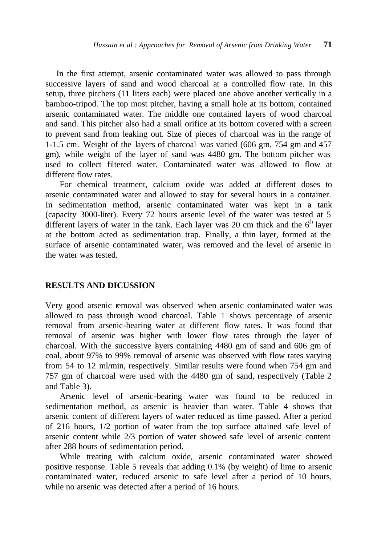In the first attempt, arsenic contaminated water was allowed to pass through successive layers of sand and wood charcoal at a controlled flow rate. In this setup, three pitchers (11 liters each) were placed one above another vertically in a bamboo-tripod. The top most pitcher, having a small hole at its bottom, contained arsenic contaminated water. The middle one contained layers of wood charcoal and sand. This pitcher also had a small orifice at its bottom covered with a screen to prevent sand from leaking out. Size of pieces of charcoal was in the range of 1-1.5 cm. Weight of the layers of charcoal was varied (606 gm, 754 gm and 457 gm), while weight of the layer of sand was 4480 gm. The bottom pitcher was used to collect filtered water. Contaminated water was allowed to flow at different flow rates.

For chemical treatment, calcium oxide was added at different doses to arsenic contaminated water and allowed to stay for several hours in a container. In sedimentation method, arsenic contaminated water was kept in a tank (capacity 3000-liter). Every 72 hours arsenic level of the water was tested at 5 different layers of water in the tank. Each layer was 20 cm thick and the  $6<sup>th</sup>$  layer at the bottom acted as sedimentation trap. Finally, a thin layer, formed at the surface of arsenic contaminated water, was removed and the level of arsenic in the water was tested.

#### **RESULTS AND DICUSSION**

Very good arsenic removal was observed when arsenic contaminated water was allowed to pass through wood charcoal. Table 1 shows percentage of arsenic removal from arsenic-bearing water at different flow rates. It was found that removal of arsenic was higher with lower flow rates through the layer of charcoal. With the successive layers containing 4480 gm of sand and 606 gm of coal, about 97% to 99% removal of arsenic was observed with flow rates varying from 54 to 12 ml/min, respectively. Similar results were found when 754 gm and 757 gm of charcoal were used with the 4480 gm of sand, respectively (Table 2 and Table 3).

Arsenic level of arsenic-bearing water was found to be reduced in sedimentation method, as arsenic is heavier than water. Table 4 shows that arsenic content of different layers of water reduced as time passed. After a period of 216 hours, 1/2 portion of water from the top surface attained safe level of arsenic content while 2/3 portion of water showed safe level of arsenic content after 288 hours of sedimentation period.

While treating with calcium oxide, arsenic contaminated water showed positive response. Table 5 reveals that adding 0.1% (by weight) of lime to arsenic contaminated water, reduced arsenic to safe level after a period of 10 hours, while no arsenic was detected after a period of 16 hours.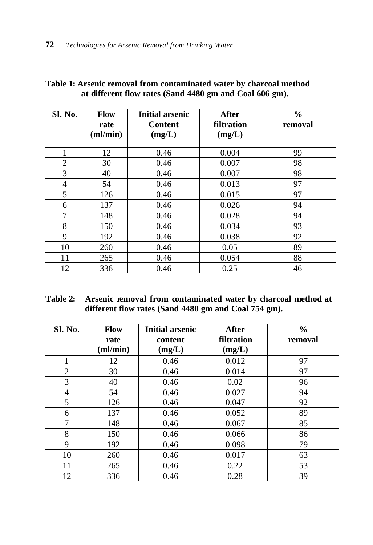| Sl. No.        | <b>Flow</b><br>rate<br>$\textbf{(ml/min)}$ | <b>Initial arsenic</b><br>Content<br>(mg/L) | After<br>filtration<br>(mg/L) | $\frac{0}{0}$<br>removal |
|----------------|--------------------------------------------|---------------------------------------------|-------------------------------|--------------------------|
| 1              | 12                                         | 0.46                                        | 0.004                         | 99                       |
| $\overline{2}$ | 30                                         | 0.46                                        | 0.007                         | 98                       |
| 3              | 40                                         | 0.46                                        | 0.007                         | 98                       |
| 4              | 54                                         | 0.46                                        | 0.013                         | 97                       |
| 5              | 126                                        | 0.46                                        | 0.015                         | 97                       |
| 6              | 137                                        | 0.46                                        | 0.026                         | 94                       |
| 7              | 148                                        | 0.46                                        | 0.028                         | 94                       |
| 8              | 150                                        | 0.46                                        | 0.034                         | 93                       |
| 9              | 192                                        | 0.46                                        | 0.038                         | 92                       |
| 10             | 260                                        | 0.46                                        | 0.05                          | 89                       |
| 11             | 265                                        | 0.46                                        | 0.054                         | 88                       |
| 12             | 336                                        | 0.46                                        | 0.25                          | 46                       |

# **Table 1: Arsenic removal from contaminated water by charcoal method at different flow rates (Sand 4480 gm and Coal 606 gm).**

| Table 2: Arsenic removal from contaminated water by charcoal method at |
|------------------------------------------------------------------------|
| different flow rates (Sand 4480 gm and Coal 754 gm).                   |

| Sl. No.        | <b>Flow</b><br>rate<br>(ml/min) | <b>Initial arsenic</b><br>content<br>(mg/L) | <b>After</b><br>filtration<br>(mg/L) | $\frac{0}{0}$<br>removal |
|----------------|---------------------------------|---------------------------------------------|--------------------------------------|--------------------------|
| 1              | 12                              | 0.46                                        | 0.012                                | 97                       |
| $\overline{2}$ | 30                              | 0.46                                        | 0.014                                | 97                       |
| 3              | 40                              | 0.46                                        | 0.02                                 | 96                       |
| 4              | 54                              | 0.46                                        | 0.027                                | 94                       |
| 5              | 126                             | 0.46                                        | 0.047                                | 92                       |
| 6              | 137                             | 0.46                                        | 0.052                                | 89                       |
| 7              | 148                             | 0.46                                        | 0.067                                | 85                       |
| 8              | 150                             | 0.46                                        | 0.066                                | 86                       |
| 9              | 192                             | 0.46                                        | 0.098                                | 79                       |
| 10             | 260                             | 0.46                                        | 0.017                                | 63                       |
| 11             | 265                             | 0.46                                        | 0.22                                 | 53                       |
| 12             | 336                             | 0.46                                        | 0.28                                 | 39                       |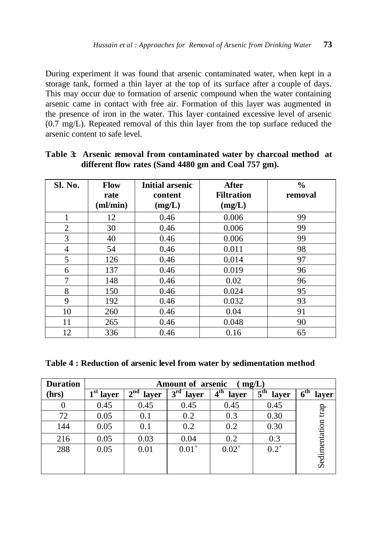During experiment it was found that arsenic contaminated water, when kept in a storage tank, formed a thin layer at the top of its surface after a couple of days. This may occur due to formation of arsenic compound when the water containing arsenic came in contact with free air. Formation of this layer was augmented in the presence of iron in the water. This layer contained excessive level of arsenic (0.7 mg/L). Repeated removal of this thin layer from the top surface reduced the arsenic content to safe level.

| Sl. No.        | <b>Flow</b><br>rate<br>(ml/min) | <b>Initial arsenic</b><br>content<br>(mg/L) | <b>After</b><br><b>Filtration</b><br>(mg/L) | $\frac{0}{0}$<br>removal |
|----------------|---------------------------------|---------------------------------------------|---------------------------------------------|--------------------------|
| 1              | 12                              | 0.46                                        | 0.006                                       | 99                       |
| 2              | 30                              | 0.46                                        | 0.006                                       | 99                       |
| 3              | 40                              | 0.46                                        | 0.006                                       | 99                       |
| $\overline{4}$ | 54                              | 0.46                                        | 0.011                                       | 98                       |
| 5              | 126                             | 0.46                                        | 0.014                                       | 97                       |
| 6              | 137                             | 0.46                                        | 0.019                                       | 96                       |
| 7              | 148                             | 0.46                                        | 0.02                                        | 96                       |
| 8              | 150                             | 0.46                                        | 0.024                                       | 95                       |
| 9              | 192                             | 0.46                                        | 0.032                                       | 93                       |
| 10             | 260                             | 0.46                                        | 0.04                                        | 91                       |
| 11             | 265                             | 0.46                                        | 0.048                                       | 90                       |
| 12             | 336                             | 0.46                                        | 0.16                                        | 65                       |

# **Table 3:** Arsenic removal from contaminated water by charcoal method at **different flow rates (Sand 4480 gm and Coal 757 gm).**

**Table 4 : Reduction of arsenic level from water by sedimentation method** 

| <b>Duration</b> | <b>Amount of arsenic</b><br>mg/L) |             |                       |                                  |                                     |                          |  |
|-----------------|-----------------------------------|-------------|-----------------------|----------------------------------|-------------------------------------|--------------------------|--|
| (hrs)           | $1st$ layer                       | $2nd$ layer | $3^{\rm rd}$<br>layer | $\overline{4}^{\text{th}}$ layer | $\overline{5}^{\text{th}}$<br>layer | 6 <sup>th</sup><br>layer |  |
|                 | 0.45                              | 0.45        | 0.45                  | 0.45                             | 0.45                                |                          |  |
| 72              | 0.05                              | 0.1         | 0.2                   | 0.3                              | 0.30                                | trap                     |  |
| 144             | 0.05                              | 0.1         | 0.2                   | 0.2                              | 0.30                                |                          |  |
| 216             | 0.05                              | 0.03        | 0.04                  | 0.2                              | 0.3                                 |                          |  |
| 288             | 0.05                              | 0.01        | $0.01^{+}$            | $0.02^+$                         | $0.2^{+}$                           |                          |  |
|                 |                                   |             |                       |                                  |                                     | Sedimentation            |  |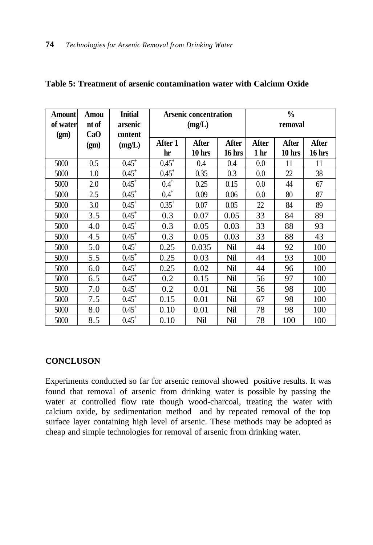| <b>Amount</b> | Amou  | <b>Initial</b> | <b>Arsenic concentration</b> |          |        | $\frac{0}{0}$   |        |        |
|---------------|-------|----------------|------------------------------|----------|--------|-----------------|--------|--------|
| of water      | nt of | arsenic        | (mg/L)                       |          |        | removal         |        |        |
| (gm)          | CaO   | content        |                              |          |        |                 |        |        |
|               | (gm)  | (mg/L)         | After 1                      | After    | After  | After           | After  | After  |
|               |       |                | hr                           | $10$ hrs | 16 hrs | 1 <sub>hr</sub> | 10 hrs | 16 hrs |
| 5000          | 0.5   | $0.45^{+}$     | $0.45^+$                     | 0.4      | 0.4    | 0.0             | 11     | 11     |
| 5000          | 1.0   | $0.45^{+}$     | $0.45^{+}$                   | 0.35     | 0.3    | 0.0             | 22     | 38     |
| 5000          | 2.0   | $0.45^{+}$     | $0.4^{+}$                    | 0.25     | 0.15   | 0.0             | 44     | 67     |
| 5000          | 2.5   | $0.45^{+}$     | $0.4^{+}$                    | 0.09     | 0.06   | 0.0             | 80     | 87     |
| 5000          | 3.0   | $0.45^+$       | $0.35^{+}$                   | 0.07     | 0.05   | 22              | 84     | 89     |
| 5000          | 3.5   | $0.45^{+}$     | 0.3                          | 0.07     | 0.05   | 33              | 84     | 89     |
| 5000          | 4.0   | $0.45^{+}$     | 0.3                          | 0.05     | 0.03   | 33              | 88     | 93     |
| 5000          | 4.5   | $0.45^+$       | 0.3                          | 0.05     | 0.03   | 33              | 88     | 43     |
| 5000          | 5.0   | $0.45^+$       | 0.25                         | 0.035    | Nil    | 44              | 92     | 100    |
| 5000          | 5.5   | $0.45^{+}$     | 0.25                         | 0.03     | Nil    | 44              | 93     | 100    |
| 5000          | 6.0   | $0.45^{+}$     | 0.25                         | 0.02     | Nil    | 44              | 96     | 100    |
| 5000          | 6.5   | $0.45^+$       | 0.2                          | 0.15     | Nil    | 56              | 97     | 100    |
| 5000          | 7.0   | $0.45^+$       | 0.2                          | 0.01     | Nil    | 56              | 98     | 100    |
| 5000          | 7.5   | $0.45^{+}$     | 0.15                         | 0.01     | Nil    | 67              | 98     | 100    |
| 5000          | 8.0   | $0.45^{+}$     | 0.10                         | 0.01     | Nil    | 78              | 98     | 100    |
| 5000          | 8.5   | $0.45^{+}$     | 0.10                         | Nil      | Nil    | 78              | 100    | 100    |

## **Table 5: Treatment of arsenic contamination water with Calcium Oxide**

# **CONCLUSON**

Experiments conducted so far for arsenic removal showed positive results. It was found that removal of arsenic from drinking water is possible by passing the water at controlled flow rate though wood-charcoal, treating the water with calcium oxide, by sedimentation method and by repeated removal of the top surface layer containing high level of arsenic. These methods may be adopted as cheap and simple technologies for removal of arsenic from drinking water.